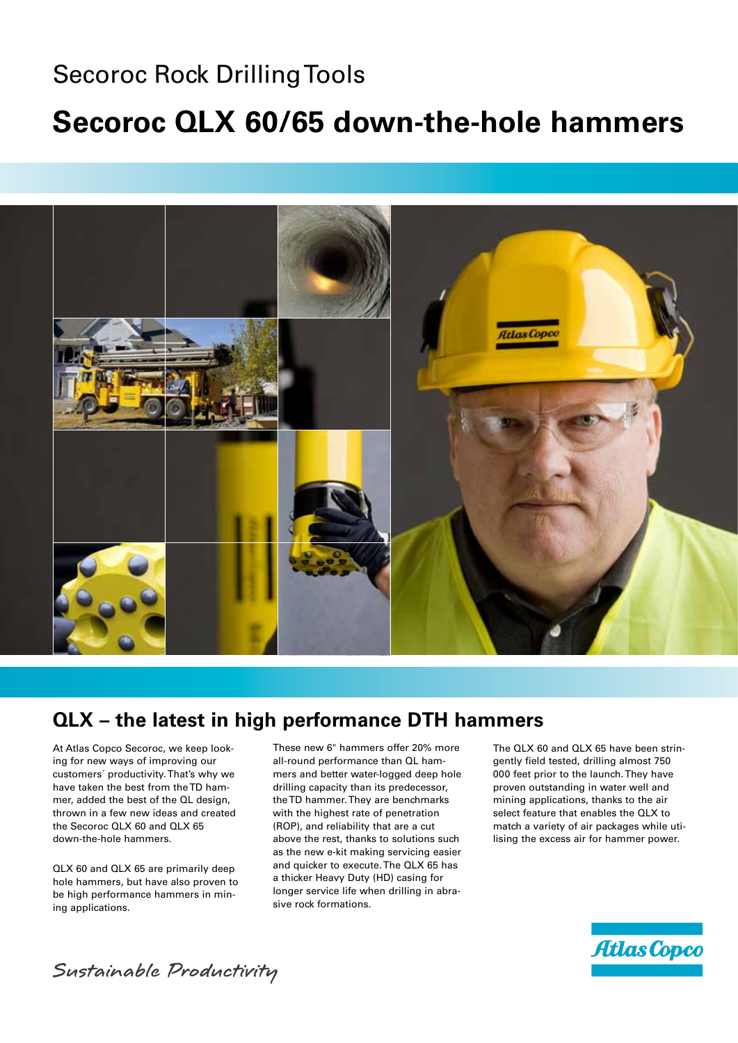### Secoroc Rock Drilling Tools

## **Secoroc QLX 60/65 down-the-hole hammers**



### **QLX – the latest in high performance DTH hammers**

At Atlas Copco Secoroc, we keep looking for new ways of improving our customers´ productivity. That's why we have taken the best from the TD hammer, added the best of the QL design, thrown in a few new ideas and created the Secoroc QLX 60 and QLX 65 down-the-hole hammers.

QLX 60 and QLX 65 are primarily deep hole hammers, but have also proven to be high performance hammers in mining applications.

These new 6" hammers offer 20% more all-round performance than QL hammers and better water-logged deep hole drilling capacity than its predecessor, the TD hammer. They are benchmarks with the highest rate of penetration (ROP), and reliability that are a cut above the rest, thanks to solutions such as the new e-kit making servicing easier and quicker to execute. The QLX 65 has a thicker Heavy Duty (HD) casing for longer service life when drilling in abrasive rock formations.

The QLX 60 and QLX 65 have been stringently field tested, drilling almost 750 000 feet prior to the launch. They have proven outstanding in water well and mining applications, thanks to the air select feature that enables the QLX to match a variety of air packages while utilising the excess air for hammer power.